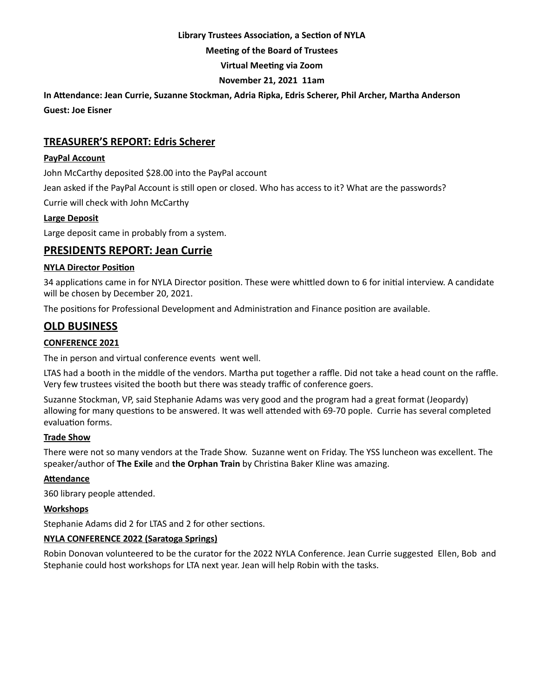### **Library Trustees Association, a Section of NYLA**

**Meeting of the Board of Trustees**

**Virtual Meeting via Zoom**

# **November 21, 2021 11am**

**In Attendance: Jean Currie, Suzanne Stockman, Adria Ripka, Edris Scherer, Phil Archer, Martha Anderson Guest: Joe Eisner**

# **TREASURER'S REPORT: Edris Scherer**

## **PayPal Account**

John McCarthy deposited \$28.00 into the PayPal account

Jean asked if the PayPal Account is still open or closed. Who has access to it? What are the passwords?

Currie will check with John McCarthy

#### **Large Deposit**

Large deposit came in probably from a system.

# **PRESIDENTS REPORT: Jean Currie**

#### **NYLA Director Position**

34 applications came in for NYLA Director position. These were whittled down to 6 for initial interview. A candidate will be chosen by December 20, 2021.

The positions for Professional Development and Administration and Finance position are available.

# **OLD BUSINESS**

# **CONFERENCE 2021**

The in person and virtual conference events went well.

LTAS had a booth in the middle of the vendors. Martha put together a raffle. Did not take a head count on the raffle. Very few trustees visited the booth but there was steady traffic of conference goers.

Suzanne Stockman, VP, said Stephanie Adams was very good and the program had a great format (Jeopardy) allowing for many questions to be answered. It was well attended with 69-70 pople. Currie has several completed evaluation forms.

#### **Trade Show**

There were not so many vendors at the Trade Show. Suzanne went on Friday. The YSS luncheon was excellent. The speaker/author of **The Exile** and **the Orphan Train** by Christina Baker Kline was amazing.

# **Attendance**

360 library people attended.

#### **Workshops**

Stephanie Adams did 2 for LTAS and 2 for other sections.

# **NYLA CONFERENCE 2022 (Saratoga Springs)**

Robin Donovan volunteered to be the curator for the 2022 NYLA Conference. Jean Currie suggested Ellen, Bob and Stephanie could host workshops for LTA next year. Jean will help Robin with the tasks.